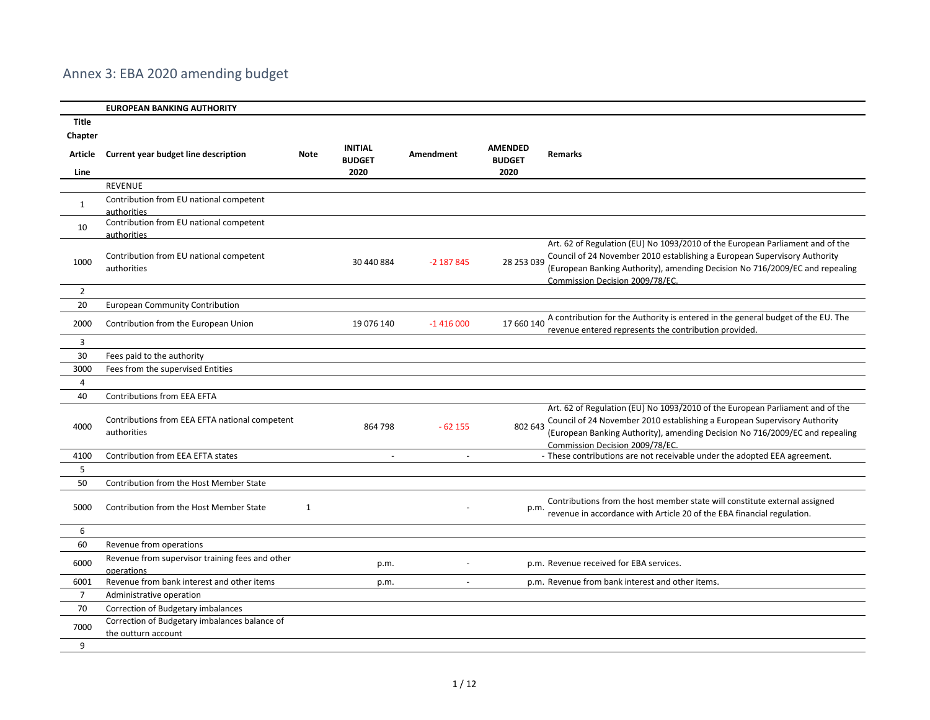## Annex 3: EBA 2020 amending budget

|                | <b>EUROPEAN BANKING AUTHORITY</b>                                     |             |                                 |                  |                                 |                                                                                                                                                                                                                                                                               |
|----------------|-----------------------------------------------------------------------|-------------|---------------------------------|------------------|---------------------------------|-------------------------------------------------------------------------------------------------------------------------------------------------------------------------------------------------------------------------------------------------------------------------------|
| <b>Title</b>   |                                                                       |             |                                 |                  |                                 |                                                                                                                                                                                                                                                                               |
| Chapter        |                                                                       |             |                                 |                  |                                 |                                                                                                                                                                                                                                                                               |
| Article        | Current year budget line description                                  | <b>Note</b> | <b>INITIAL</b><br><b>BUDGET</b> | <b>Amendment</b> | <b>AMENDED</b><br><b>BUDGET</b> | <b>Remarks</b>                                                                                                                                                                                                                                                                |
| Line           |                                                                       |             | 2020                            |                  | 2020                            |                                                                                                                                                                                                                                                                               |
|                | <b>REVENUE</b>                                                        |             |                                 |                  |                                 |                                                                                                                                                                                                                                                                               |
| $\mathbf{1}$   | Contribution from EU national competent                               |             |                                 |                  |                                 |                                                                                                                                                                                                                                                                               |
| 10             | authorities<br>Contribution from EU national competent                |             |                                 |                  |                                 |                                                                                                                                                                                                                                                                               |
| 1000           | authorities<br>Contribution from EU national competent<br>authorities |             | 30 440 884                      | $-2$ 187 845     | 28 253 039                      | Art. 62 of Regulation (EU) No 1093/2010 of the European Parliament and of the<br>Council of 24 November 2010 establishing a European Supervisory Authority<br>(European Banking Authority), amending Decision No 716/2009/EC and repealing<br>Commission Decision 2009/78/EC. |
| $\overline{2}$ |                                                                       |             |                                 |                  |                                 |                                                                                                                                                                                                                                                                               |
| 20             | <b>European Community Contribution</b>                                |             |                                 |                  |                                 |                                                                                                                                                                                                                                                                               |
| 2000           | Contribution from the European Union                                  |             | 19 076 140                      | $-1416000$       | 17 660 140                      | A contribution for the Authority is entered in the general budget of the EU. The<br>revenue entered represents the contribution provided.                                                                                                                                     |
| $\overline{3}$ |                                                                       |             |                                 |                  |                                 |                                                                                                                                                                                                                                                                               |
| 30             | Fees paid to the authority                                            |             |                                 |                  |                                 |                                                                                                                                                                                                                                                                               |
| 3000           | Fees from the supervised Entities                                     |             |                                 |                  |                                 |                                                                                                                                                                                                                                                                               |
| 4              |                                                                       |             |                                 |                  |                                 |                                                                                                                                                                                                                                                                               |
| 40             | Contributions from EEA EFTA                                           |             |                                 |                  |                                 |                                                                                                                                                                                                                                                                               |
| 4000           | Contributions from EEA EFTA national competent<br>authorities         |             | 864 798                         | $-62155$         | 802 643                         | Art. 62 of Regulation (EU) No 1093/2010 of the European Parliament and of the<br>Council of 24 November 2010 establishing a European Supervisory Authority<br>(European Banking Authority), amending Decision No 716/2009/EC and repealing<br>Commission Decision 2009/78/EC. |
| 4100           | Contribution from EEA EFTA states                                     |             | $\sim$                          | $\sim$           |                                 | - These contributions are not receivable under the adopted EEA agreement.                                                                                                                                                                                                     |
| 5              |                                                                       |             |                                 |                  |                                 |                                                                                                                                                                                                                                                                               |
| 50             | Contribution from the Host Member State                               |             |                                 |                  |                                 |                                                                                                                                                                                                                                                                               |
| 5000           | Contribution from the Host Member State                               | 1           |                                 |                  | p.m.                            | Contributions from the host member state will constitute external assigned<br>revenue in accordance with Article 20 of the EBA financial regulation.                                                                                                                          |
| 6              |                                                                       |             |                                 |                  |                                 |                                                                                                                                                                                                                                                                               |
| 60             | Revenue from operations                                               |             |                                 |                  |                                 |                                                                                                                                                                                                                                                                               |
| 6000           | Revenue from supervisor training fees and other<br>operations         |             | p.m.                            |                  |                                 | p.m. Revenue received for EBA services.                                                                                                                                                                                                                                       |
| 6001           | Revenue from bank interest and other items                            |             | p.m.                            | $\sim$           |                                 | p.m. Revenue from bank interest and other items.                                                                                                                                                                                                                              |
| $\overline{7}$ | Administrative operation                                              |             |                                 |                  |                                 |                                                                                                                                                                                                                                                                               |
| 70             | Correction of Budgetary imbalances                                    |             |                                 |                  |                                 |                                                                                                                                                                                                                                                                               |
| 7000           | Correction of Budgetary imbalances balance of<br>the outturn account  |             |                                 |                  |                                 |                                                                                                                                                                                                                                                                               |
| 9              |                                                                       |             |                                 |                  |                                 |                                                                                                                                                                                                                                                                               |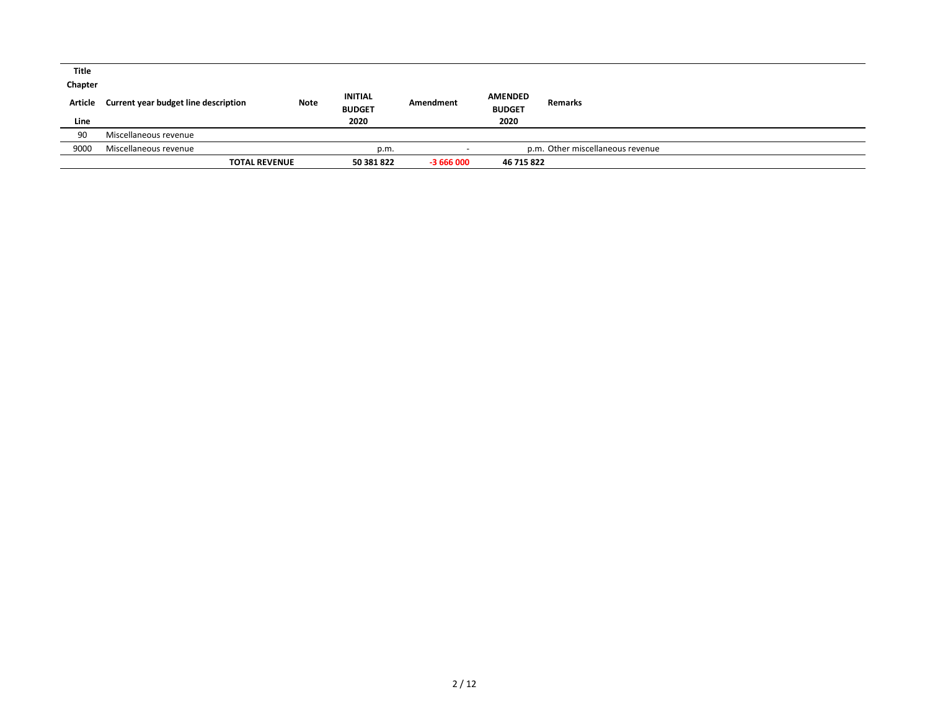| Title   |                                      |             |                |            |                |                                  |  |
|---------|--------------------------------------|-------------|----------------|------------|----------------|----------------------------------|--|
| Chapter |                                      |             | <b>INITIAL</b> |            | <b>AMENDED</b> |                                  |  |
| Article | Current year budget line description | <b>Note</b> | <b>BUDGET</b>  | Amendment  | <b>BUDGET</b>  | Remarks                          |  |
| Line    |                                      |             | 2020           |            | 2020           |                                  |  |
| 90      | Miscellaneous revenue                |             |                |            |                |                                  |  |
| 9000    | Miscellaneous revenue                |             | p.m.           |            |                | p.m. Other miscellaneous revenue |  |
|         | <b>TOTAL REVENUE</b>                 |             | 50 381 822     | $-3666000$ | 46 715 822     |                                  |  |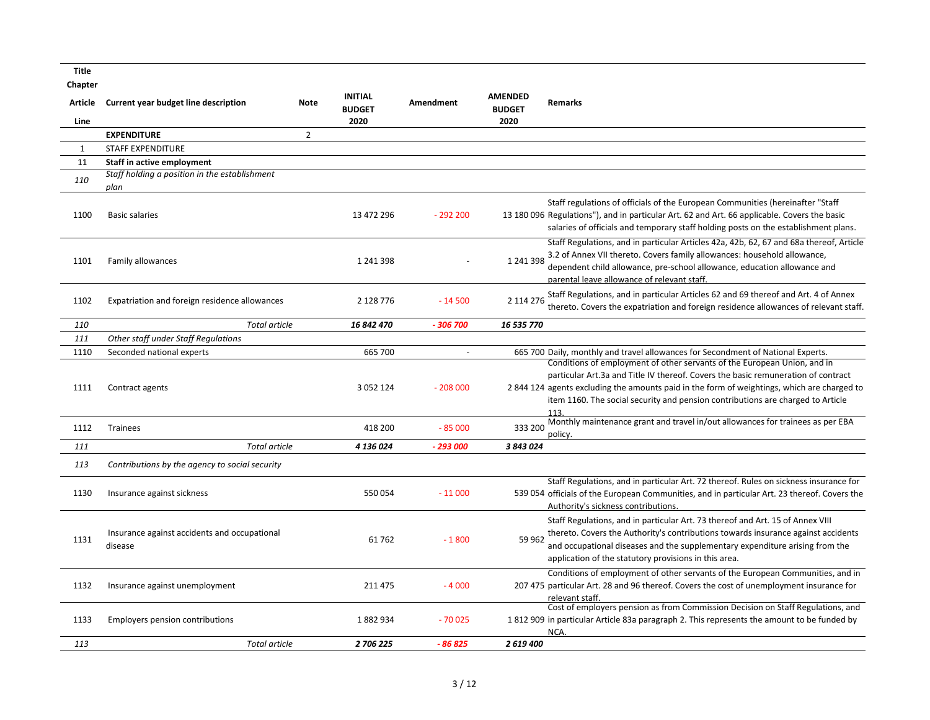| <b>Title</b>       |                                                         |                |                                 |                  |                                 |                                                                                                                                                                                                                                                                                                                                                        |
|--------------------|---------------------------------------------------------|----------------|---------------------------------|------------------|---------------------------------|--------------------------------------------------------------------------------------------------------------------------------------------------------------------------------------------------------------------------------------------------------------------------------------------------------------------------------------------------------|
| Chapter<br>Article | Current year budget line description                    | <b>Note</b>    | <b>INITIAL</b><br><b>BUDGET</b> | <b>Amendment</b> | <b>AMENDED</b><br><b>BUDGET</b> | <b>Remarks</b>                                                                                                                                                                                                                                                                                                                                         |
| Line               |                                                         |                | 2020                            |                  | 2020                            |                                                                                                                                                                                                                                                                                                                                                        |
|                    | <b>EXPENDITURE</b>                                      | $\overline{2}$ |                                 |                  |                                 |                                                                                                                                                                                                                                                                                                                                                        |
| $\mathbf{1}$       | <b>STAFF EXPENDITURE</b>                                |                |                                 |                  |                                 |                                                                                                                                                                                                                                                                                                                                                        |
| 11                 | <b>Staff in active employment</b>                       |                |                                 |                  |                                 |                                                                                                                                                                                                                                                                                                                                                        |
| 110                | Staff holding a position in the establishment<br>plan   |                |                                 |                  |                                 |                                                                                                                                                                                                                                                                                                                                                        |
| 1100               | <b>Basic salaries</b>                                   |                | 13 472 296                      | $-292200$        |                                 | Staff regulations of officials of the European Communities (hereinafter "Staff<br>13 180 096 Regulations"), and in particular Art. 62 and Art. 66 applicable. Covers the basic<br>salaries of officials and temporary staff holding posts on the establishment plans.                                                                                  |
| 1101               | Family allowances                                       |                | 1 241 398                       |                  | 1 241 398                       | Staff Regulations, and in particular Articles 42a, 42b, 62, 67 and 68a thereof, Article<br>3.2 of Annex VII thereto. Covers family allowances: household allowance,<br>dependent child allowance, pre-school allowance, education allowance and<br>parental leave allowance of relevant staff.                                                         |
| 1102               | Expatriation and foreign residence allowances           |                | 2 128 776                       | $-14500$         | 2 114 276                       | Staff Regulations, and in particular Articles 62 and 69 thereof and Art. 4 of Annex<br>thereto. Covers the expatriation and foreign residence allowances of relevant staff.                                                                                                                                                                            |
| 110                | <b>Total article</b>                                    |                | 16 842 470                      | - 306 700        | 16 535 770                      |                                                                                                                                                                                                                                                                                                                                                        |
| 111                | Other staff under Staff Regulations                     |                |                                 |                  |                                 |                                                                                                                                                                                                                                                                                                                                                        |
| 1110               | Seconded national experts                               |                | 665 700                         |                  |                                 | 665 700 Daily, monthly and travel allowances for Secondment of National Experts.                                                                                                                                                                                                                                                                       |
| 1111               | Contract agents                                         |                | 3 0 5 2 1 2 4                   | $-208000$        |                                 | Conditions of employment of other servants of the European Union, and in<br>particular Art.3a and Title IV thereof. Covers the basic remuneration of contract<br>2844 124 agents excluding the amounts paid in the form of weightings, which are charged to<br>item 1160. The social security and pension contributions are charged to Article<br>113. |
| 1112               | Trainees                                                |                | 418 200                         | $-85000$         | 333 200                         | Monthly maintenance grant and travel in/out allowances for trainees as per EBA<br>policy.                                                                                                                                                                                                                                                              |
| 111                | <b>Total article</b>                                    |                | 4 136 024                       | - 293 000        | 3 843 024                       |                                                                                                                                                                                                                                                                                                                                                        |
| 113                | Contributions by the agency to social security          |                |                                 |                  |                                 |                                                                                                                                                                                                                                                                                                                                                        |
| 1130               | Insurance against sickness                              |                | 550 054                         | $-11000$         |                                 | Staff Regulations, and in particular Art. 72 thereof. Rules on sickness insurance for<br>539 054 officials of the European Communities, and in particular Art. 23 thereof. Covers the<br>Authority's sickness contributions.                                                                                                                           |
| 1131               | Insurance against accidents and occupational<br>disease |                | 61762                           | $-1800$          | 59 962                          | Staff Regulations, and in particular Art. 73 thereof and Art. 15 of Annex VIII<br>thereto. Covers the Authority's contributions towards insurance against accidents<br>and occupational diseases and the supplementary expenditure arising from the<br>application of the statutory provisions in this area.                                           |
| 1132               | Insurance against unemployment                          |                | 211 475                         | $-4000$          |                                 | Conditions of employment of other servants of the European Communities, and in<br>207 475 particular Art. 28 and 96 thereof. Covers the cost of unemployment insurance for<br>relevant staff.                                                                                                                                                          |
| 1133               | <b>Employers pension contributions</b>                  |                | 1882934                         | $-70025$         |                                 | Cost of employers pension as from Commission Decision on Staff Regulations, and<br>1812 909 in particular Article 83a paragraph 2. This represents the amount to be funded by<br>NCA.                                                                                                                                                                  |
| 113                | <b>Total article</b>                                    |                | 2 706 225                       | $-86825$         | 2 619 400                       |                                                                                                                                                                                                                                                                                                                                                        |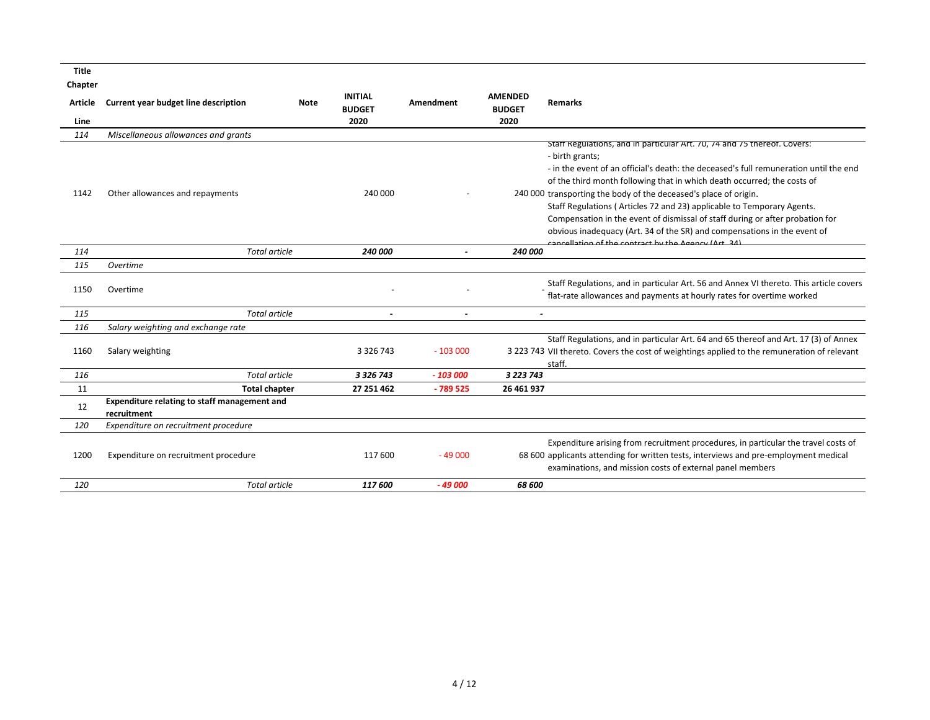**Title**

| Chapter        |                                                                    |      |                                 |           |                                 |                                                                                                                                                                                                                                         |
|----------------|--------------------------------------------------------------------|------|---------------------------------|-----------|---------------------------------|-----------------------------------------------------------------------------------------------------------------------------------------------------------------------------------------------------------------------------------------|
| <b>Article</b> | Current year budget line description                               | Note | <b>INITIAL</b><br><b>BUDGET</b> | Amendment | <b>AMENDED</b><br><b>BUDGET</b> | <b>Remarks</b>                                                                                                                                                                                                                          |
| Line           |                                                                    |      | 2020                            |           | 2020                            |                                                                                                                                                                                                                                         |
| 114            | Miscellaneous allowances and grants                                |      |                                 |           |                                 |                                                                                                                                                                                                                                         |
|                |                                                                    |      |                                 |           |                                 | Staff Regulations, and in particular Art. 70, 74 and 75 thereof. Covers:<br>- birth grants;                                                                                                                                             |
|                |                                                                    |      |                                 |           |                                 | - in the event of an official's death: the deceased's full remuneration until the end                                                                                                                                                   |
|                |                                                                    |      |                                 |           |                                 | of the third month following that in which death occurred; the costs of                                                                                                                                                                 |
| 1142           | Other allowances and repayments                                    |      | 240 000                         |           |                                 | 240 000 transporting the body of the deceased's place of origin.                                                                                                                                                                        |
|                |                                                                    |      |                                 |           |                                 | Staff Regulations (Articles 72 and 23) applicable to Temporary Agents.                                                                                                                                                                  |
|                |                                                                    |      |                                 |           |                                 | Compensation in the event of dismissal of staff during or after probation for                                                                                                                                                           |
|                |                                                                    |      |                                 |           |                                 | obvious inadequacy (Art. 34 of the SR) and compensations in the event of                                                                                                                                                                |
|                |                                                                    |      |                                 |           |                                 | cancellation of the contract by the Agency (Art 34)                                                                                                                                                                                     |
| 114            | <b>Total article</b>                                               |      | 240 000                         |           | 240 000                         |                                                                                                                                                                                                                                         |
| 115            | Overtime                                                           |      |                                 |           |                                 |                                                                                                                                                                                                                                         |
| 1150           | Overtime                                                           |      |                                 |           |                                 | Staff Regulations, and in particular Art. 56 and Annex VI thereto. This article covers                                                                                                                                                  |
|                |                                                                    |      |                                 |           |                                 | flat-rate allowances and payments at hourly rates for overtime worked                                                                                                                                                                   |
| 115            | <b>Total article</b>                                               |      |                                 |           | $\overline{a}$                  |                                                                                                                                                                                                                                         |
| 116            | Salary weighting and exchange rate                                 |      |                                 |           |                                 |                                                                                                                                                                                                                                         |
|                |                                                                    |      |                                 |           |                                 | Staff Regulations, and in particular Art. 64 and 65 thereof and Art. 17 (3) of Annex                                                                                                                                                    |
| 1160           | Salary weighting                                                   |      | 3 3 2 6 7 4 3                   | $-103000$ |                                 | 3 223 743 VII thereto. Covers the cost of weightings applied to the remuneration of relevant                                                                                                                                            |
|                |                                                                    |      |                                 |           |                                 | staff.                                                                                                                                                                                                                                  |
| 116            | <b>Total article</b>                                               |      | 3 3 2 6 7 4 3                   | $-103000$ | 3 2 2 3 7 4 3                   |                                                                                                                                                                                                                                         |
| 11             | <b>Total chapter</b>                                               |      | 27 251 462                      | $-789525$ | 26 461 937                      |                                                                                                                                                                                                                                         |
| 12             | <b>Expenditure relating to staff management and</b><br>recruitment |      |                                 |           |                                 |                                                                                                                                                                                                                                         |
| 120            | Expenditure on recruitment procedure                               |      |                                 |           |                                 |                                                                                                                                                                                                                                         |
| 1200           | Expenditure on recruitment procedure                               |      | 117 600                         | $-49000$  |                                 | Expenditure arising from recruitment procedures, in particular the travel costs of<br>68 600 applicants attending for written tests, interviews and pre-employment medical<br>examinations, and mission costs of external panel members |
|                |                                                                    |      |                                 |           |                                 |                                                                                                                                                                                                                                         |
| 120            | <b>Total article</b>                                               |      | 117 600                         | $-49000$  | 68 600                          |                                                                                                                                                                                                                                         |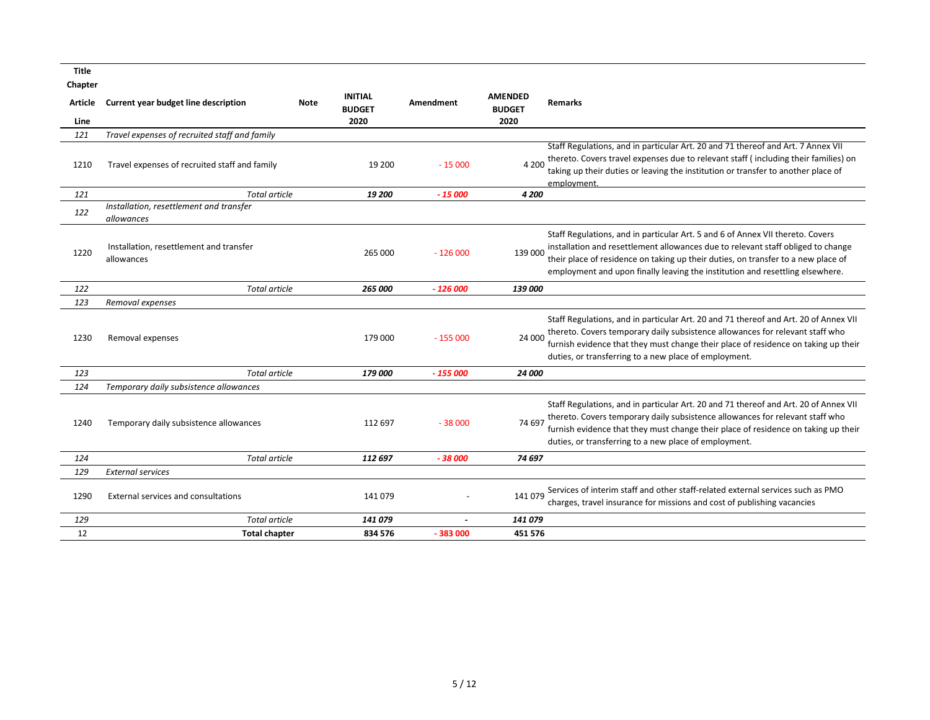| <b>Title</b> |                                                       |                                         |         |                  |                                 |                                                                                                                                                                                                                                                                                                                                          |
|--------------|-------------------------------------------------------|-----------------------------------------|---------|------------------|---------------------------------|------------------------------------------------------------------------------------------------------------------------------------------------------------------------------------------------------------------------------------------------------------------------------------------------------------------------------------------|
| Chapter      |                                                       |                                         |         |                  |                                 |                                                                                                                                                                                                                                                                                                                                          |
| Article      | Current year budget line description                  | <b>INITIAL</b><br>Note<br><b>BUDGET</b> |         | <b>Amendment</b> | <b>AMENDED</b><br><b>BUDGET</b> | <b>Remarks</b>                                                                                                                                                                                                                                                                                                                           |
| Line         |                                                       | 2020                                    |         |                  | 2020                            |                                                                                                                                                                                                                                                                                                                                          |
| 121          | Travel expenses of recruited staff and family         |                                         |         |                  |                                 |                                                                                                                                                                                                                                                                                                                                          |
| 1210         | Travel expenses of recruited staff and family         |                                         | 19 200  | $-15000$         | 4 200                           | Staff Regulations, and in particular Art. 20 and 71 thereof and Art. 7 Annex VII<br>thereto. Covers travel expenses due to relevant staff (including their families) on<br>taking up their duties or leaving the institution or transfer to another place of<br>employment.                                                              |
| 121          | Total article                                         |                                         | 19 200  | $-15000$         | 4 200                           |                                                                                                                                                                                                                                                                                                                                          |
| 122          | Installation, resettlement and transfer<br>allowances |                                         |         |                  |                                 |                                                                                                                                                                                                                                                                                                                                          |
| 1220         | Installation, resettlement and transfer<br>allowances |                                         | 265 000 | $-126000$        | 139 000                         | Staff Regulations, and in particular Art. 5 and 6 of Annex VII thereto. Covers<br>installation and resettlement allowances due to relevant staff obliged to change<br>their place of residence on taking up their duties, on transfer to a new place of<br>employment and upon finally leaving the institution and resettling elsewhere. |
| 122          | <b>Total article</b>                                  |                                         | 265 000 | $-126000$        | <i><b>139 000</b></i>           |                                                                                                                                                                                                                                                                                                                                          |
| 123          | Removal expenses                                      |                                         |         |                  |                                 |                                                                                                                                                                                                                                                                                                                                          |
| 1230         | Removal expenses                                      |                                         | 179 000 | $-155000$        | 24 000                          | Staff Regulations, and in particular Art. 20 and 71 thereof and Art. 20 of Annex VII<br>thereto. Covers temporary daily subsistence allowances for relevant staff who<br>furnish evidence that they must change their place of residence on taking up their<br>duties, or transferring to a new place of employment.                     |
| 123          | <b>Total article</b>                                  |                                         | 179 000 | $-155000$        | 24 000                          |                                                                                                                                                                                                                                                                                                                                          |
| 124          | Temporary daily subsistence allowances                |                                         |         |                  |                                 |                                                                                                                                                                                                                                                                                                                                          |
| 1240         | Temporary daily subsistence allowances                |                                         | 112 697 | $-38000$         | 74 697                          | Staff Regulations, and in particular Art. 20 and 71 thereof and Art. 20 of Annex VII<br>thereto. Covers temporary daily subsistence allowances for relevant staff who<br>furnish evidence that they must change their place of residence on taking up their<br>duties, or transferring to a new place of employment.                     |
| 124          | Total article                                         |                                         | 112 697 | $-38000$         | 74 697                          |                                                                                                                                                                                                                                                                                                                                          |
| 129          | <b>External services</b>                              |                                         |         |                  |                                 |                                                                                                                                                                                                                                                                                                                                          |
| 1290         | External services and consultations                   |                                         | 141 079 |                  | 141 079                         | Services of interim staff and other staff-related external services such as PMO<br>charges, travel insurance for missions and cost of publishing vacancies                                                                                                                                                                               |
| 129          | <b>Total article</b>                                  |                                         | 141 079 | $\sim$           | 141 079                         |                                                                                                                                                                                                                                                                                                                                          |
| 12           | <b>Total chapter</b>                                  |                                         | 834 576 | - 383 000        | 451 576                         |                                                                                                                                                                                                                                                                                                                                          |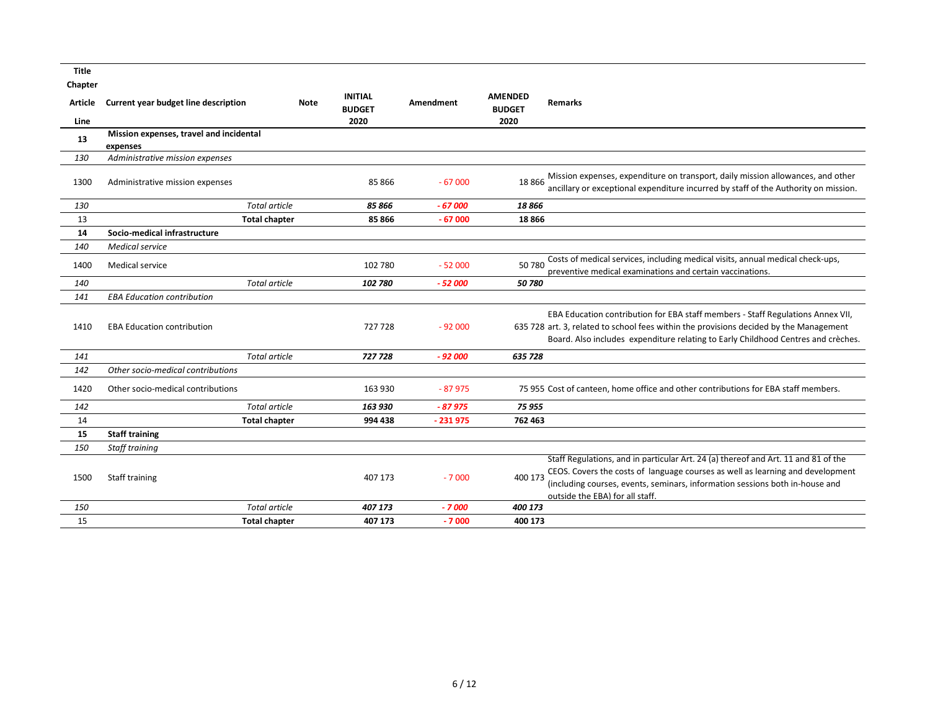| <b>Title</b> |                                         |      |                                 |                  |                                 |                                                                                                                                                                                                                                                                                         |
|--------------|-----------------------------------------|------|---------------------------------|------------------|---------------------------------|-----------------------------------------------------------------------------------------------------------------------------------------------------------------------------------------------------------------------------------------------------------------------------------------|
| Chapter      |                                         |      |                                 |                  |                                 |                                                                                                                                                                                                                                                                                         |
| Article      | Current year budget line description    | Note | <b>INITIAL</b><br><b>BUDGET</b> | <b>Amendment</b> | <b>AMENDED</b><br><b>BUDGET</b> | <b>Remarks</b>                                                                                                                                                                                                                                                                          |
| Line         | Mission expenses, travel and incidental |      | 2020                            |                  | 2020                            |                                                                                                                                                                                                                                                                                         |
| 13           | expenses                                |      |                                 |                  |                                 |                                                                                                                                                                                                                                                                                         |
| 130          | Administrative mission expenses         |      |                                 |                  |                                 |                                                                                                                                                                                                                                                                                         |
| 1300         | Administrative mission expenses         |      | 85 866                          | $-67000$         | 18 8 66                         | Mission expenses, expenditure on transport, daily mission allowances, and other<br>ancillary or exceptional expenditure incurred by staff of the Authority on mission.                                                                                                                  |
| 130          | <b>Total article</b>                    |      | 85 866                          | $-67000$         | 18 866                          |                                                                                                                                                                                                                                                                                         |
| 13           | <b>Total chapter</b>                    |      | 85 866                          | $-67000$         | 18866                           |                                                                                                                                                                                                                                                                                         |
| 14           | Socio-medical infrastructure            |      |                                 |                  |                                 |                                                                                                                                                                                                                                                                                         |
| 140          | <b>Medical service</b>                  |      |                                 |                  |                                 |                                                                                                                                                                                                                                                                                         |
| 1400         | Medical service                         |      | 102 780                         | $-52000$         | 50 780                          | Costs of medical services, including medical visits, annual medical check-ups,<br>preventive medical examinations and certain vaccinations.                                                                                                                                             |
| 140          | <b>Total article</b>                    |      | 102 780                         | $-52000$         | 50780                           |                                                                                                                                                                                                                                                                                         |
| 141          | <b>EBA Education contribution</b>       |      |                                 |                  |                                 |                                                                                                                                                                                                                                                                                         |
| 1410         | <b>EBA Education contribution</b>       |      | 727 728                         | $-92000$         |                                 | EBA Education contribution for EBA staff members - Staff Regulations Annex VII,<br>635 728 art. 3, related to school fees within the provisions decided by the Management<br>Board. Also includes expenditure relating to Early Childhood Centres and crèches.                          |
| 141          | <b>Total article</b>                    |      | 727 728                         | $-92000$         | 635 728                         |                                                                                                                                                                                                                                                                                         |
| 142          | Other socio-medical contributions       |      |                                 |                  |                                 |                                                                                                                                                                                                                                                                                         |
| 1420         | Other socio-medical contributions       |      | 163 930                         | $-87975$         |                                 | 75 955 Cost of canteen, home office and other contributions for EBA staff members.                                                                                                                                                                                                      |
| 142          | <b>Total article</b>                    |      | 163 930                         | $-87975$         | 75 955                          |                                                                                                                                                                                                                                                                                         |
| 14           | <b>Total chapter</b>                    |      | 994 438                         | - 231 975        | 762 463                         |                                                                                                                                                                                                                                                                                         |
| 15           | <b>Staff training</b>                   |      |                                 |                  |                                 |                                                                                                                                                                                                                                                                                         |
| 150          | <b>Staff training</b>                   |      |                                 |                  |                                 |                                                                                                                                                                                                                                                                                         |
| 1500         | <b>Staff training</b>                   |      | 407 173                         | $-7000$          | 400 173                         | Staff Regulations, and in particular Art. 24 (a) thereof and Art. 11 and 81 of the<br>CEOS. Covers the costs of language courses as well as learning and development<br>(including courses, events, seminars, information sessions both in-house and<br>outside the EBA) for all staff. |
| 150          | <b>Total article</b>                    |      | 407 173                         | - 7 000          | 400 173                         |                                                                                                                                                                                                                                                                                         |
| 15           | <b>Total chapter</b>                    |      | 407 173                         | $-7000$          | 400 173                         |                                                                                                                                                                                                                                                                                         |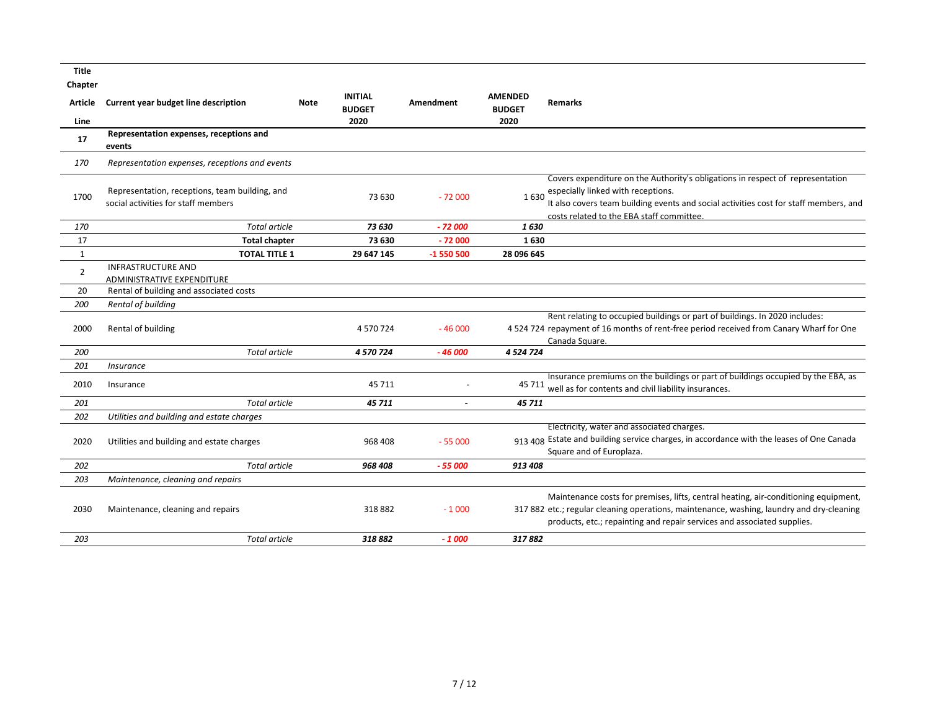| <b>Title</b><br>Chapter |                                                                                       |                                                |                  |                                 |                                                                                                                                                                                                                                                                  |
|-------------------------|---------------------------------------------------------------------------------------|------------------------------------------------|------------------|---------------------------------|------------------------------------------------------------------------------------------------------------------------------------------------------------------------------------------------------------------------------------------------------------------|
| Article                 | Current year budget line description                                                  | <b>INITIAL</b><br><b>Note</b><br><b>BUDGET</b> | <b>Amendment</b> | <b>AMENDED</b><br><b>BUDGET</b> | Remarks                                                                                                                                                                                                                                                          |
| Line                    |                                                                                       | 2020                                           |                  | 2020                            |                                                                                                                                                                                                                                                                  |
| 17                      | Representation expenses, receptions and<br>events                                     |                                                |                  |                                 |                                                                                                                                                                                                                                                                  |
| 170                     | Representation expenses, receptions and events                                        |                                                |                  |                                 |                                                                                                                                                                                                                                                                  |
| 1700                    | Representation, receptions, team building, and<br>social activities for staff members | 73 630                                         | $-72000$         |                                 | Covers expenditure on the Authority's obligations in respect of representation<br>1 630 especially linked with receptions.<br>It also covers team building events and social activities cost for staff members, and<br>costs related to the EBA staff committee. |
| 170                     | <b>Total article</b>                                                                  | 73 630                                         | $-72000$         | 1630                            |                                                                                                                                                                                                                                                                  |
| 17                      | <b>Total chapter</b>                                                                  | 73 630                                         | $-72000$         | 1630                            |                                                                                                                                                                                                                                                                  |
| 1                       | <b>TOTAL TITLE 1</b>                                                                  | 29 647 145                                     | -1 550 500       | 28 096 645                      |                                                                                                                                                                                                                                                                  |
| $\overline{2}$          | <b>INFRASTRUCTURE AND</b><br>ADMINISTRATIVE EXPENDITURE                               |                                                |                  |                                 |                                                                                                                                                                                                                                                                  |
| 20                      | Rental of building and associated costs                                               |                                                |                  |                                 |                                                                                                                                                                                                                                                                  |
| 200                     | Rental of building                                                                    |                                                |                  |                                 |                                                                                                                                                                                                                                                                  |
| 2000                    | Rental of building                                                                    | 4 570 724                                      | $-46000$         |                                 | Rent relating to occupied buildings or part of buildings. In 2020 includes:<br>4 524 724 repayment of 16 months of rent-free period received from Canary Wharf for One<br>Canada Square.                                                                         |
| 200                     | <b>Total article</b>                                                                  | 4 570 724                                      | $-46000$         | 4 5 24 7 24                     |                                                                                                                                                                                                                                                                  |
| 201                     | <i><b>Insurance</b></i>                                                               |                                                |                  |                                 |                                                                                                                                                                                                                                                                  |
| 2010                    | Insurance                                                                             | 45 711                                         |                  |                                 | Insurance premiums on the buildings or part of buildings occupied by the EBA, as<br>45 711 well as for contents and civil liability insurances.                                                                                                                  |
| 201                     | <b>Total article</b>                                                                  | 45 711                                         |                  | 45 711                          |                                                                                                                                                                                                                                                                  |
| 202                     | Utilities and building and estate charges                                             |                                                |                  |                                 |                                                                                                                                                                                                                                                                  |
| 2020                    | Utilities and building and estate charges                                             | 968 408                                        | $-55000$         |                                 | Electricity, water and associated charges.<br>913 408 Estate and building service charges, in accordance with the leases of One Canada<br>Square and of Europlaza.                                                                                               |
| 202                     | <b>Total article</b>                                                                  | 968 408                                        | $-55000$         | 913 408                         |                                                                                                                                                                                                                                                                  |
| 203                     | Maintenance, cleaning and repairs                                                     |                                                |                  |                                 |                                                                                                                                                                                                                                                                  |
| 2030                    | Maintenance, cleaning and repairs                                                     | 318882                                         | $-1000$          |                                 | Maintenance costs for premises, lifts, central heating, air-conditioning equipment,<br>317 882 etc.; regular cleaning operations, maintenance, washing, laundry and dry-cleaning<br>products, etc.; repainting and repair services and associated supplies.      |
| 203                     | <b>Total article</b>                                                                  | 318882                                         | $-1000$          | 317882                          |                                                                                                                                                                                                                                                                  |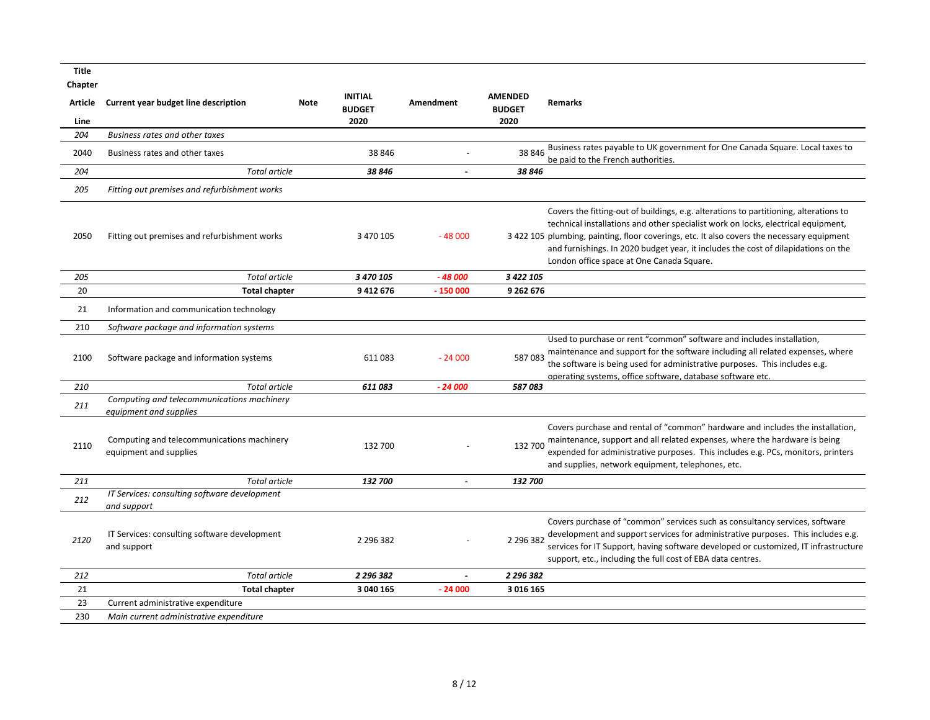| Title<br>Chapter |                                                                      |             |                                 |                  |                                 |                                                                                                                                                                                                                                                                                                                                                                                                             |
|------------------|----------------------------------------------------------------------|-------------|---------------------------------|------------------|---------------------------------|-------------------------------------------------------------------------------------------------------------------------------------------------------------------------------------------------------------------------------------------------------------------------------------------------------------------------------------------------------------------------------------------------------------|
| <b>Article</b>   | Current year budget line description                                 | <b>Note</b> | <b>INITIAL</b><br><b>BUDGET</b> | <b>Amendment</b> | <b>AMENDED</b><br><b>BUDGET</b> | <b>Remarks</b>                                                                                                                                                                                                                                                                                                                                                                                              |
| Line             |                                                                      |             | 2020                            |                  | 2020                            |                                                                                                                                                                                                                                                                                                                                                                                                             |
| 204              | Business rates and other taxes                                       |             |                                 |                  |                                 |                                                                                                                                                                                                                                                                                                                                                                                                             |
| 2040             | Business rates and other taxes                                       |             | 38 846                          |                  | 38 846                          | Business rates payable to UK government for One Canada Square. Local taxes to<br>be paid to the French authorities.                                                                                                                                                                                                                                                                                         |
| 204              | <b>Total article</b>                                                 |             | 38 846                          |                  | 38 846                          |                                                                                                                                                                                                                                                                                                                                                                                                             |
| 205              | Fitting out premises and refurbishment works                         |             |                                 |                  |                                 |                                                                                                                                                                                                                                                                                                                                                                                                             |
| 2050             | Fitting out premises and refurbishment works                         |             | 3 470 105                       | $-48000$         |                                 | Covers the fitting-out of buildings, e.g. alterations to partitioning, alterations to<br>technical installations and other specialist work on locks, electrical equipment,<br>3 422 105 plumbing, painting, floor coverings, etc. It also covers the necessary equipment<br>and furnishings. In 2020 budget year, it includes the cost of dilapidations on the<br>London office space at One Canada Square. |
| 205              | <b>Total article</b>                                                 |             | 3 470 105                       | $-48000$         | 3 422 105                       |                                                                                                                                                                                                                                                                                                                                                                                                             |
| 20               | <b>Total chapter</b>                                                 |             | 9412676                         | $-150000$        | 9 262 676                       |                                                                                                                                                                                                                                                                                                                                                                                                             |
| 21               | Information and communication technology                             |             |                                 |                  |                                 |                                                                                                                                                                                                                                                                                                                                                                                                             |
| 210              | Software package and information systems                             |             |                                 |                  |                                 |                                                                                                                                                                                                                                                                                                                                                                                                             |
| 2100             | Software package and information systems                             |             | 611083                          | $-24000$         | 587083                          | Used to purchase or rent "common" software and includes installation,<br>maintenance and support for the software including all related expenses, where<br>the software is being used for administrative purposes. This includes e.g.<br>operating systems, office software, database software etc.                                                                                                         |
| 210              | Total article                                                        |             | 611 083                         | - 24 000         | 587083                          |                                                                                                                                                                                                                                                                                                                                                                                                             |
| 211              | Computing and telecommunications machinery<br>equipment and supplies |             |                                 |                  |                                 |                                                                                                                                                                                                                                                                                                                                                                                                             |
| 2110             | Computing and telecommunications machinery<br>equipment and supplies |             | 132 700                         |                  | 132 700                         | Covers purchase and rental of "common" hardware and includes the installation,<br>maintenance, support and all related expenses, where the hardware is being<br>expended for administrative purposes. This includes e.g. PCs, monitors, printers<br>and supplies, network equipment, telephones, etc.                                                                                                       |
| 211              | <b>Total article</b>                                                 |             | 132 700                         |                  | 132 700                         |                                                                                                                                                                                                                                                                                                                                                                                                             |
| 212              | IT Services: consulting software development<br>and support          |             |                                 |                  |                                 |                                                                                                                                                                                                                                                                                                                                                                                                             |
| 2120             | IT Services: consulting software development<br>and support          |             | 2 2 9 6 3 8 2                   |                  | 2 2 9 6 3 8 2                   | Covers purchase of "common" services such as consultancy services, software<br>development and support services for administrative purposes. This includes e.g.<br>services for IT Support, having software developed or customized, IT infrastructure<br>support, etc., including the full cost of EBA data centres.                                                                                       |
| 212              | Total article                                                        |             | 2 296 382                       |                  | 2 296 382                       |                                                                                                                                                                                                                                                                                                                                                                                                             |
| 21               | <b>Total chapter</b>                                                 |             | 3 040 165                       | $-24000$         | 3 016 165                       |                                                                                                                                                                                                                                                                                                                                                                                                             |
| 23               | Current administrative expenditure                                   |             |                                 |                  |                                 |                                                                                                                                                                                                                                                                                                                                                                                                             |
| 230              | Main current administrative expenditure                              |             |                                 |                  |                                 |                                                                                                                                                                                                                                                                                                                                                                                                             |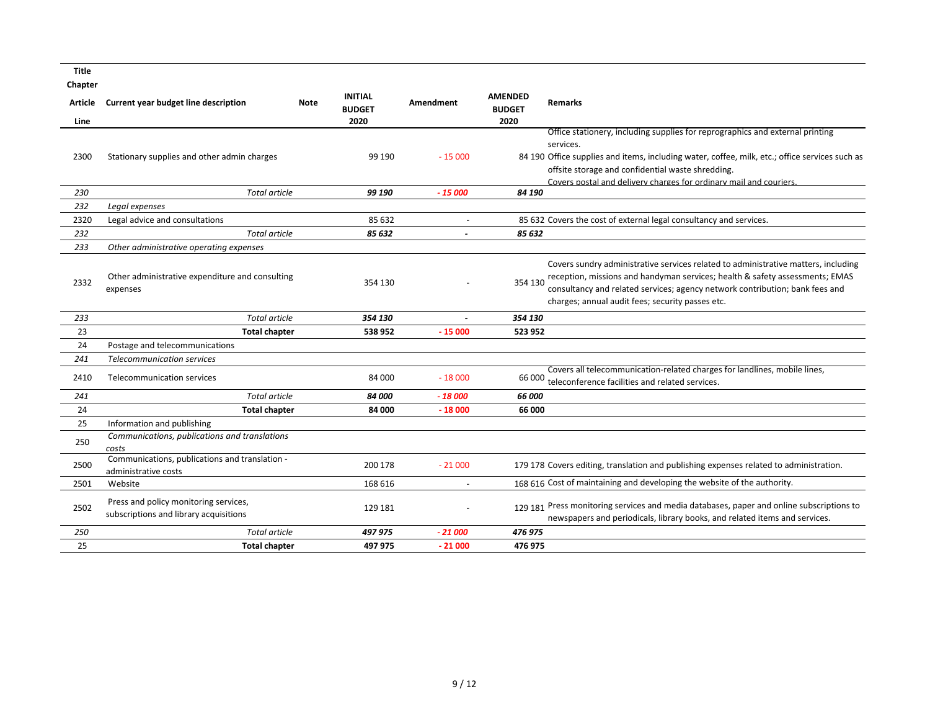**Title**

| Chapter |                                                                                 |             |                                 |                |                                 |                                                                                                                                                                                                                                                                                                        |
|---------|---------------------------------------------------------------------------------|-------------|---------------------------------|----------------|---------------------------------|--------------------------------------------------------------------------------------------------------------------------------------------------------------------------------------------------------------------------------------------------------------------------------------------------------|
| Article | Current year budget line description                                            | <b>Note</b> | <b>INITIAL</b><br><b>BUDGET</b> | Amendment      | <b>AMENDED</b><br><b>BUDGET</b> | <b>Remarks</b>                                                                                                                                                                                                                                                                                         |
| Line    |                                                                                 |             | 2020                            |                | 2020                            |                                                                                                                                                                                                                                                                                                        |
| 2300    | Stationary supplies and other admin charges                                     |             | 99 190                          | $-15000$       |                                 | Office stationery, including supplies for reprographics and external printing<br>services.<br>84 190 Office supplies and items, including water, coffee, milk, etc.; office services such as                                                                                                           |
|         |                                                                                 |             |                                 |                |                                 | offsite storage and confidential waste shredding.                                                                                                                                                                                                                                                      |
| 230     | Total article                                                                   |             | 99 190                          | $-15000$       | 84 190                          | Covers postal and delivery charges for ordinary mail and couriers.                                                                                                                                                                                                                                     |
| 232     | Legal expenses                                                                  |             |                                 |                |                                 |                                                                                                                                                                                                                                                                                                        |
| 2320    | Legal advice and consultations                                                  |             | 85 632                          | $\overline{a}$ |                                 | 85 632 Covers the cost of external legal consultancy and services.                                                                                                                                                                                                                                     |
| 232     | <b>Total article</b>                                                            |             | 85 632                          |                | 85 632                          |                                                                                                                                                                                                                                                                                                        |
| 233     | Other administrative operating expenses                                         |             |                                 |                |                                 |                                                                                                                                                                                                                                                                                                        |
| 2332    | Other administrative expenditure and consulting<br>expenses                     |             | 354 130                         |                | 354 130                         | Covers sundry administrative services related to administrative matters, including<br>reception, missions and handyman services; health & safety assessments; EMAS<br>consultancy and related services; agency network contribution; bank fees and<br>charges; annual audit fees; security passes etc. |
| 233     | <b>Total article</b>                                                            |             | 354 130                         |                | 354 130                         |                                                                                                                                                                                                                                                                                                        |
| 23      | <b>Total chapter</b>                                                            |             | 538 952                         | $-15000$       | 523 952                         |                                                                                                                                                                                                                                                                                                        |
| 24      | Postage and telecommunications                                                  |             |                                 |                |                                 |                                                                                                                                                                                                                                                                                                        |
| 241     | <b>Telecommunication services</b>                                               |             |                                 |                |                                 |                                                                                                                                                                                                                                                                                                        |
| 2410    | Telecommunication services                                                      |             | 84 000                          | $-18000$       |                                 | Covers all telecommunication-related charges for landlines, mobile lines,<br>66 000 teleconference facilities and related services.                                                                                                                                                                    |
| 241     | Total article                                                                   |             | <i><b>84 000</b></i>            | $-18000$       | 66 000                          |                                                                                                                                                                                                                                                                                                        |
| 24      | <b>Total chapter</b>                                                            |             | 84 000                          | $-18000$       | 66 000                          |                                                                                                                                                                                                                                                                                                        |
| 25      | Information and publishing                                                      |             |                                 |                |                                 |                                                                                                                                                                                                                                                                                                        |
| 250     | Communications, publications and translations<br>costs                          |             |                                 |                |                                 |                                                                                                                                                                                                                                                                                                        |
| 2500    | Communications, publications and translation -<br>administrative costs          |             | 200 178                         | $-21000$       |                                 | 179 178 Covers editing, translation and publishing expenses related to administration.                                                                                                                                                                                                                 |
| 2501    | Website                                                                         |             | 168 616                         |                |                                 | 168 616 Cost of maintaining and developing the website of the authority.                                                                                                                                                                                                                               |
| 2502    | Press and policy monitoring services,<br>subscriptions and library acquisitions |             | 129 181                         |                |                                 | 129 181 Press monitoring services and media databases, paper and online subscriptions to<br>newspapers and periodicals, library books, and related items and services.                                                                                                                                 |
| 250     | <b>Total article</b>                                                            |             | 497 975                         | - 21 000       | 476 975                         |                                                                                                                                                                                                                                                                                                        |
| 25      | <b>Total chapter</b>                                                            |             | 497 975                         | $-21000$       | 476 975                         |                                                                                                                                                                                                                                                                                                        |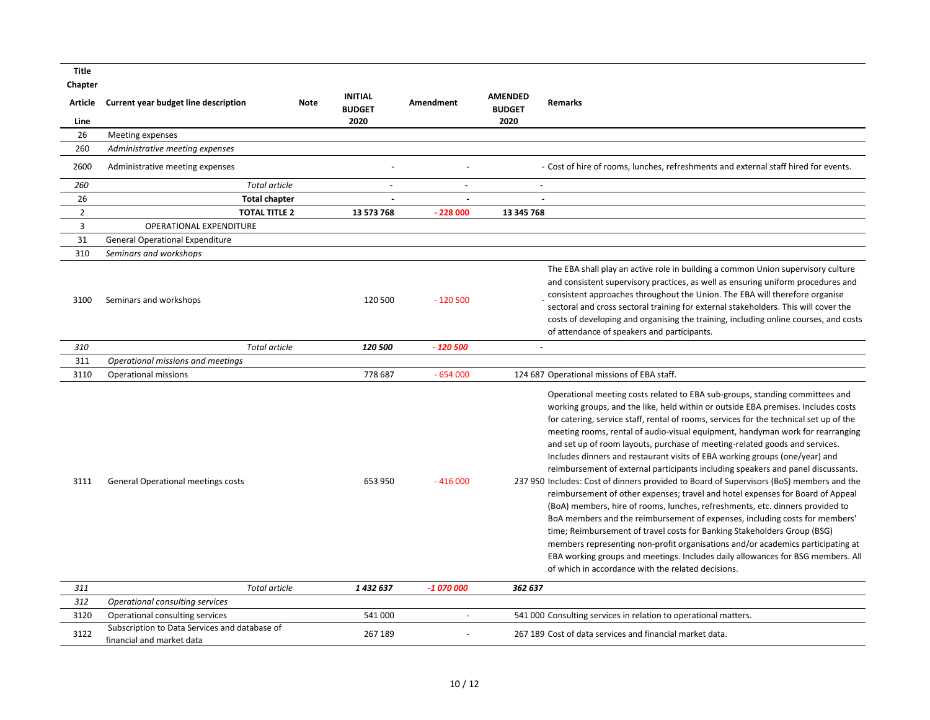| Title           |                                                                            |      |                                         |            |                                         |                                                                                                                                                                                                                                                                                                                                                                                                                                                                                                                                                                                                                                                                                                                                                                                                                                                                                                                                                                                                                                                                                                                                                                                                                                                       |
|-----------------|----------------------------------------------------------------------------|------|-----------------------------------------|------------|-----------------------------------------|-------------------------------------------------------------------------------------------------------------------------------------------------------------------------------------------------------------------------------------------------------------------------------------------------------------------------------------------------------------------------------------------------------------------------------------------------------------------------------------------------------------------------------------------------------------------------------------------------------------------------------------------------------------------------------------------------------------------------------------------------------------------------------------------------------------------------------------------------------------------------------------------------------------------------------------------------------------------------------------------------------------------------------------------------------------------------------------------------------------------------------------------------------------------------------------------------------------------------------------------------------|
| Chapter         |                                                                            |      |                                         |            |                                         |                                                                                                                                                                                                                                                                                                                                                                                                                                                                                                                                                                                                                                                                                                                                                                                                                                                                                                                                                                                                                                                                                                                                                                                                                                                       |
| Article<br>Line | Current year budget line description                                       | Note | <b>INITIAL</b><br><b>BUDGET</b><br>2020 | Amendment  | <b>AMENDED</b><br><b>BUDGET</b><br>2020 | Remarks                                                                                                                                                                                                                                                                                                                                                                                                                                                                                                                                                                                                                                                                                                                                                                                                                                                                                                                                                                                                                                                                                                                                                                                                                                               |
| 26              | Meeting expenses                                                           |      |                                         |            |                                         |                                                                                                                                                                                                                                                                                                                                                                                                                                                                                                                                                                                                                                                                                                                                                                                                                                                                                                                                                                                                                                                                                                                                                                                                                                                       |
| 260             | Administrative meeting expenses                                            |      |                                         |            |                                         |                                                                                                                                                                                                                                                                                                                                                                                                                                                                                                                                                                                                                                                                                                                                                                                                                                                                                                                                                                                                                                                                                                                                                                                                                                                       |
| 2600            | Administrative meeting expenses                                            |      |                                         |            |                                         | - Cost of hire of rooms, lunches, refreshments and external staff hired for events.                                                                                                                                                                                                                                                                                                                                                                                                                                                                                                                                                                                                                                                                                                                                                                                                                                                                                                                                                                                                                                                                                                                                                                   |
| 260             | <b>Total article</b>                                                       |      | $\overline{a}$                          | $\sim$     |                                         | $\overline{\phantom{a}}$                                                                                                                                                                                                                                                                                                                                                                                                                                                                                                                                                                                                                                                                                                                                                                                                                                                                                                                                                                                                                                                                                                                                                                                                                              |
| 26              | <b>Total chapter</b>                                                       |      |                                         |            |                                         |                                                                                                                                                                                                                                                                                                                                                                                                                                                                                                                                                                                                                                                                                                                                                                                                                                                                                                                                                                                                                                                                                                                                                                                                                                                       |
| $\overline{2}$  | <b>TOTAL TITLE 2</b>                                                       |      | 13 573 768                              | $-228000$  | 13 345 768                              |                                                                                                                                                                                                                                                                                                                                                                                                                                                                                                                                                                                                                                                                                                                                                                                                                                                                                                                                                                                                                                                                                                                                                                                                                                                       |
| 3               | OPERATIONAL EXPENDITURE                                                    |      |                                         |            |                                         |                                                                                                                                                                                                                                                                                                                                                                                                                                                                                                                                                                                                                                                                                                                                                                                                                                                                                                                                                                                                                                                                                                                                                                                                                                                       |
| 31              | <b>General Operational Expenditure</b>                                     |      |                                         |            |                                         |                                                                                                                                                                                                                                                                                                                                                                                                                                                                                                                                                                                                                                                                                                                                                                                                                                                                                                                                                                                                                                                                                                                                                                                                                                                       |
| 310             | Seminars and workshops                                                     |      |                                         |            |                                         |                                                                                                                                                                                                                                                                                                                                                                                                                                                                                                                                                                                                                                                                                                                                                                                                                                                                                                                                                                                                                                                                                                                                                                                                                                                       |
| 3100            | Seminars and workshops                                                     |      | 120 500                                 | $-120500$  |                                         | The EBA shall play an active role in building a common Union supervisory culture<br>and consistent supervisory practices, as well as ensuring uniform procedures and<br>consistent approaches throughout the Union. The EBA will therefore organise<br>sectoral and cross sectoral training for external stakeholders. This will cover the<br>costs of developing and organising the training, including online courses, and costs<br>of attendance of speakers and participants.                                                                                                                                                                                                                                                                                                                                                                                                                                                                                                                                                                                                                                                                                                                                                                     |
| 310             | <b>Total article</b>                                                       |      | 120 500                                 | $-120500$  |                                         | $\ddot{\phantom{a}}$                                                                                                                                                                                                                                                                                                                                                                                                                                                                                                                                                                                                                                                                                                                                                                                                                                                                                                                                                                                                                                                                                                                                                                                                                                  |
| 311             | Operational missions and meetings                                          |      |                                         |            |                                         |                                                                                                                                                                                                                                                                                                                                                                                                                                                                                                                                                                                                                                                                                                                                                                                                                                                                                                                                                                                                                                                                                                                                                                                                                                                       |
| 3110            | Operational missions                                                       |      | 778 687                                 | $-654000$  |                                         | 124 687 Operational missions of EBA staff.                                                                                                                                                                                                                                                                                                                                                                                                                                                                                                                                                                                                                                                                                                                                                                                                                                                                                                                                                                                                                                                                                                                                                                                                            |
| 3111            | General Operational meetings costs                                         |      | 653 950                                 | $-416000$  |                                         | Operational meeting costs related to EBA sub-groups, standing committees and<br>working groups, and the like, held within or outside EBA premises. Includes costs<br>for catering, service staff, rental of rooms, services for the technical set up of the<br>meeting rooms, rental of audio-visual equipment, handyman work for rearranging<br>and set up of room layouts, purchase of meeting-related goods and services.<br>Includes dinners and restaurant visits of EBA working groups (one/year) and<br>reimbursement of external participants including speakers and panel discussants.<br>237 950 Includes: Cost of dinners provided to Board of Supervisors (BoS) members and the<br>reimbursement of other expenses; travel and hotel expenses for Board of Appeal<br>(BoA) members, hire of rooms, lunches, refreshments, etc. dinners provided to<br>BoA members and the reimbursement of expenses, including costs for members'<br>time; Reimbursement of travel costs for Banking Stakeholders Group (BSG)<br>members representing non-profit organisations and/or academics participating at<br>EBA working groups and meetings. Includes daily allowances for BSG members. All<br>of which in accordance with the related decisions. |
| 311             | <b>Total article</b>                                                       |      | 1 432 637                               | $-1070000$ | 362 637                                 |                                                                                                                                                                                                                                                                                                                                                                                                                                                                                                                                                                                                                                                                                                                                                                                                                                                                                                                                                                                                                                                                                                                                                                                                                                                       |
| 312             | Operational consulting services                                            |      |                                         |            |                                         |                                                                                                                                                                                                                                                                                                                                                                                                                                                                                                                                                                                                                                                                                                                                                                                                                                                                                                                                                                                                                                                                                                                                                                                                                                                       |
| 3120            | Operational consulting services                                            |      | 541 000                                 |            |                                         | 541 000 Consulting services in relation to operational matters.                                                                                                                                                                                                                                                                                                                                                                                                                                                                                                                                                                                                                                                                                                                                                                                                                                                                                                                                                                                                                                                                                                                                                                                       |
| 3122            | Subscription to Data Services and database of<br>financial and market data |      | 267 189                                 |            |                                         | 267 189 Cost of data services and financial market data.                                                                                                                                                                                                                                                                                                                                                                                                                                                                                                                                                                                                                                                                                                                                                                                                                                                                                                                                                                                                                                                                                                                                                                                              |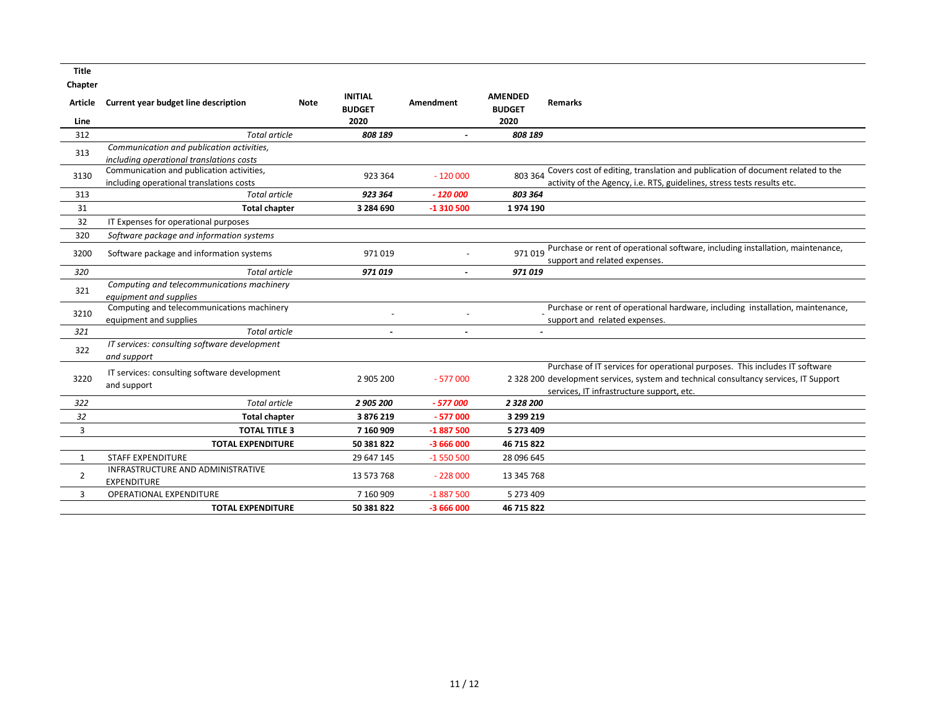**Title**

| <b>INITIAL</b><br><b>AMENDED</b><br>Current year budget line description<br><b>Amendment</b><br><b>Remarks</b><br>Article<br>Note<br><b>BUDGET</b><br><b>BUDGET</b> |                                                                                                                                                                      |
|---------------------------------------------------------------------------------------------------------------------------------------------------------------------|----------------------------------------------------------------------------------------------------------------------------------------------------------------------|
|                                                                                                                                                                     |                                                                                                                                                                      |
| 2020<br>2020<br>Line                                                                                                                                                |                                                                                                                                                                      |
| <b>Total article</b><br>312<br>808 189<br>808 189                                                                                                                   |                                                                                                                                                                      |
| Communication and publication activities,<br>313                                                                                                                    |                                                                                                                                                                      |
| including operational translations costs                                                                                                                            |                                                                                                                                                                      |
| Communication and publication activities,<br>803 364<br>3130<br>923 364<br>$-120000$                                                                                | Covers cost of editing, translation and publication of document related to the                                                                                       |
| including operational translations costs<br><b>Total article</b><br>923 364<br>$-120000$<br>803 364<br>313                                                          | activity of the Agency, i.e. RTS, guidelines, stress tests results etc.                                                                                              |
|                                                                                                                                                                     |                                                                                                                                                                      |
| 31<br><b>Total chapter</b><br>3 284 690<br>$-1310500$<br>1974 190                                                                                                   |                                                                                                                                                                      |
| 32<br>IT Expenses for operational purposes                                                                                                                          |                                                                                                                                                                      |
| 320<br>Software package and information systems                                                                                                                     |                                                                                                                                                                      |
| 971019<br>3200<br>Software package and information systems<br>971019                                                                                                | Purchase or rent of operational software, including installation, maintenance,                                                                                       |
| support and related expenses.                                                                                                                                       |                                                                                                                                                                      |
| 320<br><b>Total article</b><br>971019<br>971019                                                                                                                     |                                                                                                                                                                      |
| Computing and telecommunications machinery<br>321<br>equipment and supplies                                                                                         |                                                                                                                                                                      |
| Computing and telecommunications machinery<br>3210<br>support and related expenses.<br>equipment and supplies                                                       | Purchase or rent of operational hardware, including installation, maintenance,                                                                                       |
| <b>Total article</b><br>321<br>$\sim$<br>$\sim$                                                                                                                     |                                                                                                                                                                      |
| IT services: consulting software development<br>322<br>and support                                                                                                  |                                                                                                                                                                      |
| IT services: consulting software development<br>3220<br>2 905 200<br>$-577000$                                                                                      | Purchase of IT services for operational purposes. This includes IT software<br>2 328 200 development services, system and technical consultancy services, IT Support |
| and support<br>services. IT infrastructure support, etc.                                                                                                            |                                                                                                                                                                      |
| 2 328 200<br>322<br><b>Total article</b><br>2 905 200<br>$-577000$                                                                                                  |                                                                                                                                                                      |
| 32<br><b>Total chapter</b><br>3876219<br>$-577000$<br>3 299 219                                                                                                     |                                                                                                                                                                      |
| <b>TOTAL TITLE 3</b><br>3<br>7 160 909<br>-1 887 500<br>5 273 409                                                                                                   |                                                                                                                                                                      |
| <b>TOTAL EXPENDITURE</b><br>50 381 822<br>$-3666000$<br>46 715 822                                                                                                  |                                                                                                                                                                      |
| <b>STAFF EXPENDITURE</b><br>29 647 145<br>$-1550500$<br>28 096 645<br>1                                                                                             |                                                                                                                                                                      |
| INFRASTRUCTURE AND ADMINISTRATIVE<br>$\overline{2}$<br>$-228000$<br>13 573 768<br>13 345 768<br><b>EXPENDITURE</b>                                                  |                                                                                                                                                                      |
| <b>OPERATIONAL EXPENDITURE</b><br>7 160 909<br>$-1887500$<br>3<br>5 273 409                                                                                         |                                                                                                                                                                      |
| <b>TOTAL EXPENDITURE</b><br>50 381 822<br>$-3666000$<br>46 715 822                                                                                                  |                                                                                                                                                                      |